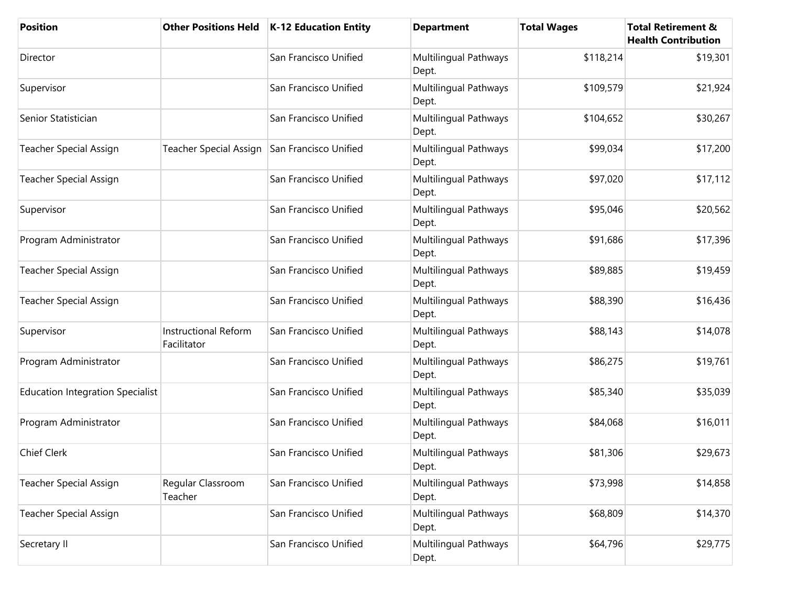| <b>Position</b>                         | <b>Other Positions Held</b>                  | K-12 Education Entity | <b>Department</b>              | <b>Total Wages</b> | <b>Total Retirement &amp;</b><br><b>Health Contribution</b> |
|-----------------------------------------|----------------------------------------------|-----------------------|--------------------------------|--------------------|-------------------------------------------------------------|
| Director                                |                                              | San Francisco Unified | Multilingual Pathways<br>Dept. | \$118,214          | \$19,301                                                    |
| Supervisor                              |                                              | San Francisco Unified | Multilingual Pathways<br>Dept. | \$109,579          | \$21,924                                                    |
| Senior Statistician                     |                                              | San Francisco Unified | Multilingual Pathways<br>Dept. | \$104,652          | \$30,267                                                    |
| <b>Teacher Special Assign</b>           | Teacher Special Assign San Francisco Unified |                       | Multilingual Pathways<br>Dept. | \$99,034           | \$17,200                                                    |
| <b>Teacher Special Assign</b>           |                                              | San Francisco Unified | Multilingual Pathways<br>Dept. | \$97,020           | \$17,112                                                    |
| Supervisor                              |                                              | San Francisco Unified | Multilingual Pathways<br>Dept. | \$95,046           | \$20,562                                                    |
| Program Administrator                   |                                              | San Francisco Unified | Multilingual Pathways<br>Dept. | \$91,686           | \$17,396                                                    |
| <b>Teacher Special Assign</b>           |                                              | San Francisco Unified | Multilingual Pathways<br>Dept. | \$89,885           | \$19,459                                                    |
| <b>Teacher Special Assign</b>           |                                              | San Francisco Unified | Multilingual Pathways<br>Dept. | \$88,390           | \$16,436                                                    |
| Supervisor                              | <b>Instructional Reform</b><br>Facilitator   | San Francisco Unified | Multilingual Pathways<br>Dept. | \$88,143           | \$14,078                                                    |
| Program Administrator                   |                                              | San Francisco Unified | Multilingual Pathways<br>Dept. | \$86,275           | \$19,761                                                    |
| <b>Education Integration Specialist</b> |                                              | San Francisco Unified | Multilingual Pathways<br>Dept. | \$85,340           | \$35,039                                                    |
| Program Administrator                   |                                              | San Francisco Unified | Multilingual Pathways<br>Dept. | \$84,068           | \$16,011                                                    |
| Chief Clerk                             |                                              | San Francisco Unified | Multilingual Pathways<br>Dept. | \$81,306           | \$29,673                                                    |
| <b>Teacher Special Assign</b>           | Regular Classroom<br>Teacher                 | San Francisco Unified | Multilingual Pathways<br>Dept. | \$73,998           | \$14,858                                                    |
| <b>Teacher Special Assign</b>           |                                              | San Francisco Unified | Multilingual Pathways<br>Dept. | \$68,809           | \$14,370                                                    |
| Secretary II                            |                                              | San Francisco Unified | Multilingual Pathways<br>Dept. | \$64,796           | \$29,775                                                    |